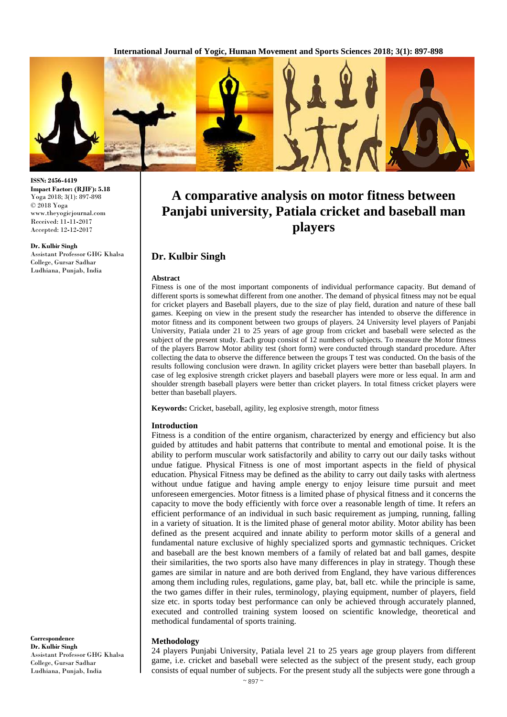**International Journal of Yogic, Human Movement and Sports Sciences 2018; 3(1): 897-898**



**ISSN: 2456-4419 Impact Factor: (RJIF): 5.18** Yoga 2018; 3(1): 897-898 © 2018 Yoga www.theyogicjournal.com Received: 11**-**11**-**2017 Accepted: 12**-**12**-**2017

#### **Dr. Kulbir Singh**

Assistant Professor GHG Khalsa College, Gursar Sadhar Ludhiana, Punjab, India

**A comparative analysis on motor fitness between Panjabi university, Patiala cricket and baseball man** 

# **players**

## **Dr. Kulbir Singh**

#### **Abstract**

Fitness is one of the most important components of individual performance capacity. But demand of different sports is somewhat different from one another. The demand of physical fitness may not be equal for cricket players and Baseball players, due to the size of play field, duration and nature of these ball games. Keeping on view in the present study the researcher has intended to observe the difference in motor fitness and its component between two groups of players. 24 University level players of Panjabi University, Patiala under 21 to 25 years of age group from cricket and baseball were selected as the subject of the present study. Each group consist of 12 numbers of subjects. To measure the Motor fitness of the players Barrow Motor ability test (short form) were conducted through standard procedure. After collecting the data to observe the difference between the groups T test was conducted. On the basis of the results following conclusion were drawn. In agility cricket players were better than baseball players. In case of leg explosive strength cricket players and baseball players were more or less equal. In arm and shoulder strength baseball players were better than cricket players. In total fitness cricket players were better than baseball players.

**Keywords:** Cricket, baseball, agility, leg explosive strength, motor fitness

#### **Introduction**

Fitness is a condition of the entire organism, characterized by energy and efficiency but also guided by attitudes and habit patterns that contribute to mental and emotional poise. It is the ability to perform muscular work satisfactorily and ability to carry out our daily tasks without undue fatigue. Physical Fitness is one of most important aspects in the field of physical education. Physical Fitness may be defined as the ability to carry out daily tasks with alertness without undue fatigue and having ample energy to enjoy leisure time pursuit and meet unforeseen emergencies. Motor fitness is a limited phase of physical fitness and it concerns the capacity to move the body efficiently with force over a reasonable length of time. It refers an efficient performance of an individual in such basic requirement as jumping, running, falling in a variety of situation. It is the limited phase of general motor ability. Motor ability has been defined as the present acquired and innate ability to perform motor skills of a general and fundamental nature exclusive of highly specialized sports and gymnastic techniques. Cricket and baseball are the best known members of a family of related bat and ball games, despite their similarities, the two sports also have many differences in play in strategy. Though these games are similar in nature and are both derived from England, they have various differences among them including rules, regulations, game play, bat, ball etc. while the principle is same, the two games differ in their rules, terminology, playing equipment, number of players, field size etc. in sports today best performance can only be achieved through accurately planned, executed and controlled training system loosed on scientific knowledge, theoretical and methodical fundamental of sports training.

### **Methodology**

24 players Punjabi University, Patiala level 21 to 25 years age group players from different game, i.e. cricket and baseball were selected as the subject of the present study, each group consists of equal number of subjects. For the present study all the subjects were gone through a

**Correspondence Dr. Kulbir Singh** Assistant Professor GHG Khalsa College, Gursar Sadhar Ludhiana, Punjab, India